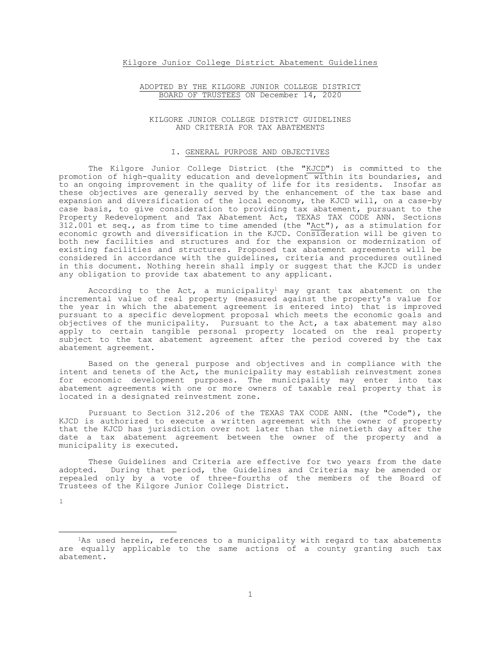## Kilgore Junior College District Abatement Guidelines

## ADOPTED BY THE KILGORE JUNIOR COLLEGE DISTRICT BOARD OF TRUSTEES ON December 14, 2020

#### KILGORE JUNIOR COLLEGE DISTRICT GUIDELINES AND CRITERIA FOR TAX ABATEMENTS

### I. GENERAL PURPOSE AND OBJECTIVES

The Kilgore Junior College District (the "KJCD") is committed to the promotion of high-quality education and development within its boundaries, and to an ongoing improvement in the quality of life for its residents. Insofar as these objectives are generally served by the enhancement of the tax base and expansion and diversification of the local economy, the KJCD will, on a case-by case basis, to give consideration to providing tax abatement, pursuant to the Property Redevelopment and Tax Abatement Act, TEXAS TAX CODE ANN. Sections 312.001 et seq., as from time to time amended (the "Act"), as a stimulation for economic growth and diversification in the KJCD. Consideration will be given to both new facilities and structures and for the expansion or modernization of existing facilities and structures. Proposed tax abatement agreements will be considered in accordance with the guidelines, criteria and procedures outlined in this document. Nothing herein shall imply or suggest that the KJCD is under any obligation to provide tax abatement to any applicant.

According to the Act, a municipality<sup>1</sup> may grant tax abatement on the incremental value of real property (measured against the property's value for the year in which the abatement agreement is entered into) that is improved pursuant to a specific development proposal which meets the economic goals and objectives of the municipality. Pursuant to the Act, a tax abatement may also apply to certain tangible personal property located on the real property subject to the tax abatement agreement after the period covered by the tax abatement agreement.

Based on the general purpose and objectives and in compliance with the intent and tenets of the Act, the municipality may establish reinvestment zones for economic development purposes. The municipality may enter into tax abatement agreements with one or more owners of taxable real property that is located in a designated reinvestment zone.

Pursuant to Section 312.206 of the TEXAS TAX CODE ANN. (the "Code"), the KJCD is authorized to execute a written agreement with the owner of property that the KJCD has jurisdiction over not later than the ninetieth day after the date a tax abatement agreement between the owner of the property and a municipality is executed.

These Guidelines and Criteria are effective for two years from the date adopted. During that period, the Guidelines and Criteria may be amended or repealed only by a vote of three-fourths of the members of the Board of Trustees of the Kilgore Junior College District.

[1](#page-0-0)

<span id="page-0-0"></span>ī <sup>1</sup>As used herein, references to a municipality with regard to tax abatements are equally applicable to the same actions of a county granting such tax abatement.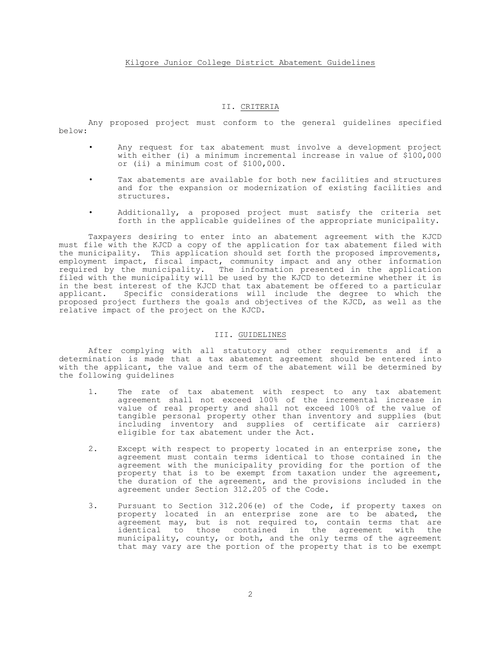# II. CRITERIA

Any proposed project must conform to the general guidelines specified below:

- Any request for tax abatement must involve a development project with either (i) a minimum incremental increase in value of \$100,000 or (ii) a minimum cost of \$100,000.
- Tax abatements are available for both new facilities and structures and for the expansion or modernization of existing facilities and structures.
- Additionally, a proposed project must satisfy the criteria set forth in the applicable guidelines of the appropriate municipality.

Taxpayers desiring to enter into an abatement agreement with the KJCD must file with the KJCD a copy of the application for tax abatement filed with the municipality. This application should set forth the proposed improvements, employment impact, fiscal impact, community impact and any other information required by the municipality. The information presented in the application filed with the municipality will be used by the KJCD to determine whether it is in the best interest of the KJCD that tax abatement be offered to a particular applicant. Specific considerations will include the degree to which the proposed project furthers the goals and objectives of the KJCD, as well as the relative impact of the project on the KJCD.

# III. GUIDELINES

After complying with all statutory and other requirements and if a determination is made that a tax abatement agreement should be entered into with the applicant, the value and term of the abatement will be determined by the following guidelines

- 1. The rate of tax abatement with respect to any tax abatement agreement shall not exceed 100% of the incremental increase in value of real property and shall not exceed 100% of the value of tangible personal property other than inventory and supplies (but including inventory and supplies of certificate air carriers) eligible for tax abatement under the Act.
- 2. Except with respect to property located in an enterprise zone, the agreement must contain terms identical to those contained in the agreement with the municipality providing for the portion of the property that is to be exempt from taxation under the agreement, the duration of the agreement, and the provisions included in the agreement under Section 312.205 of the Code.
- 3. Pursuant to Section 312.206(e) of the Code, if property taxes on property located in an enterprise zone are to be abated, the agreement may, but is not required to, contain terms that are identical to those contained in the agreement with the municipality, county, or both, and the only terms of the agreement that may vary are the portion of the property that is to be exempt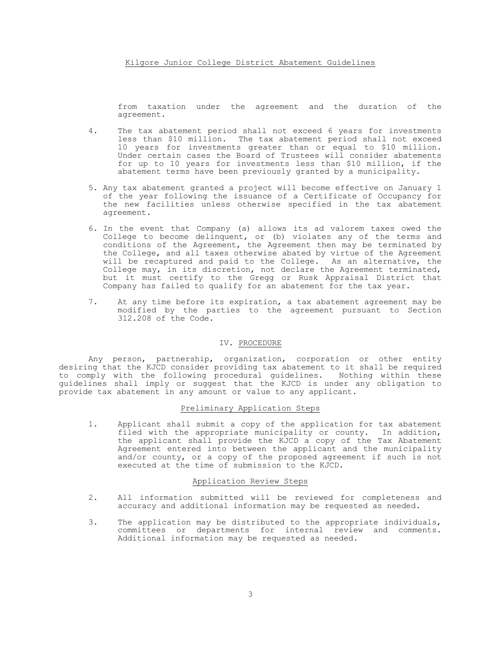from taxation under the agreement and the duration of the agreement.

- 4. The tax abatement period shall not exceed 6 years for investments less than \$10 million. The tax abatement period shall not exceed 10 years for investments greater than or equal to \$10 million. Under certain cases the Board of Trustees will consider abatements for up to 10 years for investments less than \$10 million, if the abatement terms have been previously granted by a municipality.
- 5. Any tax abatement granted a project will become effective on January 1 of the year following the issuance of a Certificate of Occupancy for the new facilities unless otherwise specified in the tax abatement agreement.
- 6. In the event that Company (a) allows its ad valorem taxes owed the College to become delinquent, or (b) violates any of the terms and conditions of the Agreement, the Agreement then may be terminated by the College, and all taxes otherwise abated by virtue of the Agreement will be recaptured and paid to the College. As an alternative, the College may, in its discretion, not declare the Agreement terminated, but it must certify to the Gregg or Rusk Appraisal District that Company has failed to qualify for an abatement for the tax year.
- 7. At any time before its expiration, a tax abatement agreement may be modified by the parties to the agreement pursuant to Section 312.208 of the Code.

### IV. PROCEDURE

Any person, partnership, organization, corporation or other entity desiring that the KJCD consider providing tax abatement to it shall be required to comply with the following procedural guidelines. Nothing within these guidelines shall imply or suggest that the KJCD is under any obligation to provide tax abatement in any amount or value to any applicant.

#### Preliminary Application Steps

1. Applicant shall submit a copy of the application for tax abatement filed with the appropriate municipality or county. In addition, the applicant shall provide the KJCD a copy of the Tax Abatement Agreement entered into between the applicant and the municipality and/or county, or a copy of the proposed agreement if such is not executed at the time of submission to the KJCD.

#### Application Review Steps

- 2. All information submitted will be reviewed for completeness and accuracy and additional information may be requested as needed.
- 3. The application may be distributed to the appropriate individuals, committees or departments for internal review and comments. Additional information may be requested as needed.